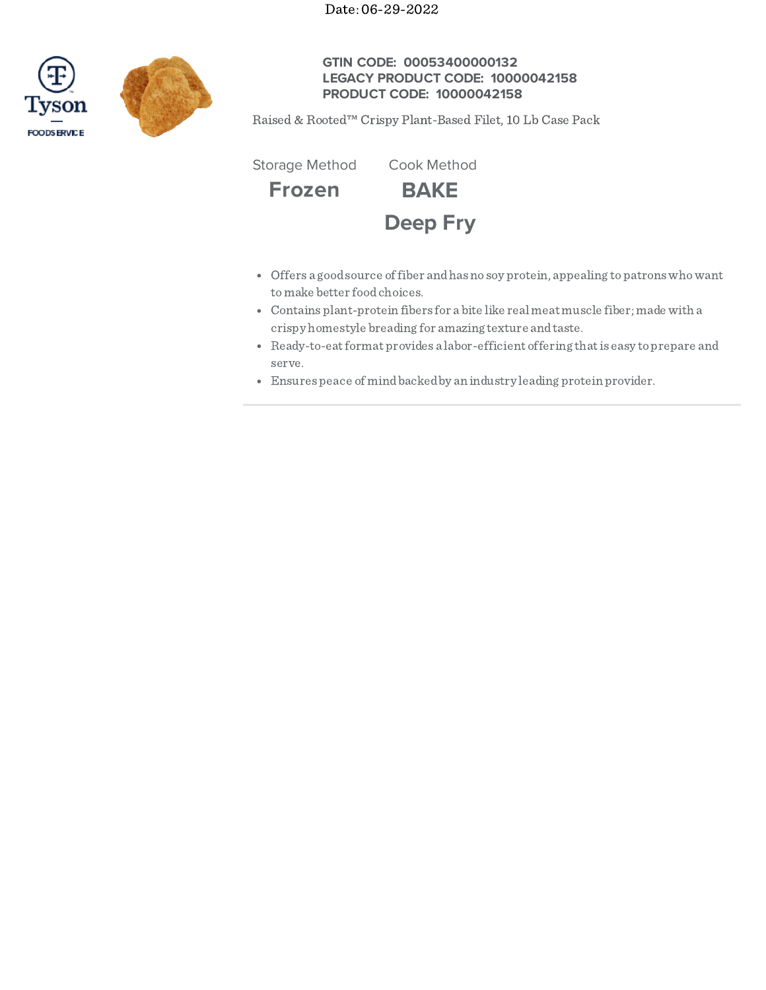Date: 06-29-2022





# **GTIN CODE: 00053400000132 LEGACY PRODUCT CODE: 10000042158 PRODUCT CODE: 10000042158**

Raised & Rooted™ Crispy Plant-Based Filet, 10 Lb Case Pack

**Frozen BAKE Deep Fry** Storage Method Cook Method

- Offers a goodsource offiber andhasno soy protein, appealing topatronswhowant tomake better foodchoices.
- Contains plant-protein fibers for a bite like real meat muscle fiber; made with a crispy homestyle breading for amazing texture andtaste.
- Ready-to-eatformat provides a labor-efficient offering thatis easy toprepare and serve.
- Ensures peace of mindbackedby an industry leading protein provider.